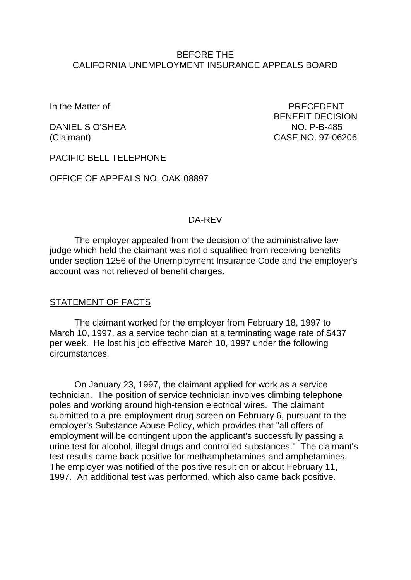### BEFORE THE CALIFORNIA UNEMPLOYMENT INSURANCE APPEALS BOARD

In the Matter of: PRECEDENT BENEFIT DECISION DANIEL S O'SHEA NO. P-B-485 (Claimant) CASE NO. 97-06206

PACIFIC BELL TELEPHONE

OFFICE OF APPEALS NO. OAK-08897

### DA-REV

The employer appealed from the decision of the administrative law judge which held the claimant was not disqualified from receiving benefits under section 1256 of the Unemployment Insurance Code and the employer's account was not relieved of benefit charges.

#### STATEMENT OF FACTS

The claimant worked for the employer from February 18, 1997 to March 10, 1997, as a service technician at a terminating wage rate of \$437 per week. He lost his job effective March 10, 1997 under the following circumstances.

On January 23, 1997, the claimant applied for work as a service technician. The position of service technician involves climbing telephone poles and working around high-tension electrical wires. The claimant submitted to a pre-employment drug screen on February 6, pursuant to the employer's Substance Abuse Policy, which provides that "all offers of employment will be contingent upon the applicant's successfully passing a urine test for alcohol, illegal drugs and controlled substances." The claimant's test results came back positive for methamphetamines and amphetamines. The employer was notified of the positive result on or about February 11, 1997. An additional test was performed, which also came back positive.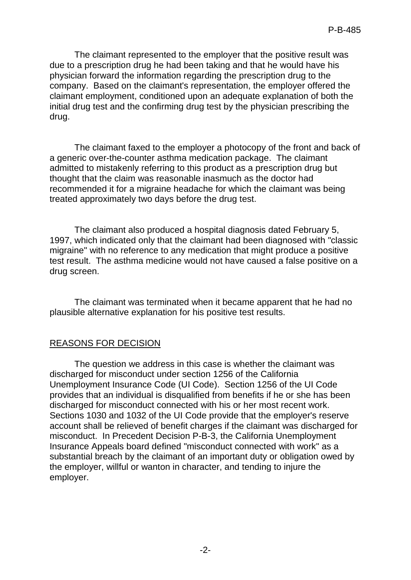The claimant represented to the employer that the positive result was due to a prescription drug he had been taking and that he would have his physician forward the information regarding the prescription drug to the company. Based on the claimant's representation, the employer offered the claimant employment, conditioned upon an adequate explanation of both the initial drug test and the confirming drug test by the physician prescribing the drug.

The claimant faxed to the employer a photocopy of the front and back of a generic over-the-counter asthma medication package. The claimant admitted to mistakenly referring to this product as a prescription drug but thought that the claim was reasonable inasmuch as the doctor had recommended it for a migraine headache for which the claimant was being treated approximately two days before the drug test.

The claimant also produced a hospital diagnosis dated February 5, 1997, which indicated only that the claimant had been diagnosed with "classic migraine" with no reference to any medication that might produce a positive test result. The asthma medicine would not have caused a false positive on a drug screen.

The claimant was terminated when it became apparent that he had no plausible alternative explanation for his positive test results.

# REASONS FOR DECISION

The question we address in this case is whether the claimant was discharged for misconduct under section 1256 of the California Unemployment Insurance Code (UI Code). Section 1256 of the UI Code provides that an individual is disqualified from benefits if he or she has been discharged for misconduct connected with his or her most recent work. Sections 1030 and 1032 of the UI Code provide that the employer's reserve account shall be relieved of benefit charges if the claimant was discharged for misconduct. In Precedent Decision P-B-3, the California Unemployment Insurance Appeals board defined "misconduct connected with work" as a substantial breach by the claimant of an important duty or obligation owed by the employer, willful or wanton in character, and tending to injure the employer.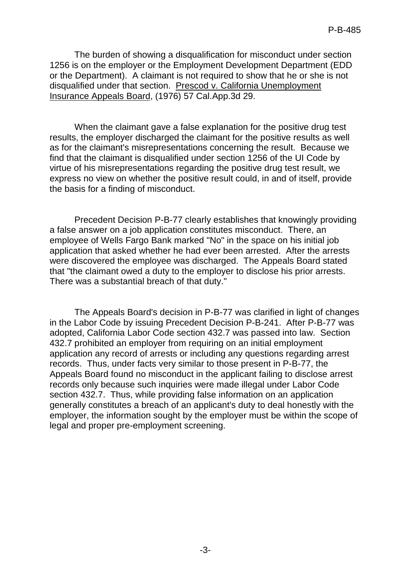The burden of showing a disqualification for misconduct under section 1256 is on the employer or the Employment Development Department (EDD or the Department). A claimant is not required to show that he or she is not disqualified under that section. Prescod v. California Unemployment Insurance Appeals Board, (1976) 57 Cal.App.3d 29.

When the claimant gave a false explanation for the positive drug test results, the employer discharged the claimant for the positive results as well as for the claimant's misrepresentations concerning the result. Because we find that the claimant is disqualified under section 1256 of the UI Code by virtue of his misrepresentations regarding the positive drug test result, we express no view on whether the positive result could, in and of itself, provide the basis for a finding of misconduct.

Precedent Decision P-B-77 clearly establishes that knowingly providing a false answer on a job application constitutes misconduct. There, an employee of Wells Fargo Bank marked "No" in the space on his initial job application that asked whether he had ever been arrested. After the arrests were discovered the employee was discharged. The Appeals Board stated that "the claimant owed a duty to the employer to disclose his prior arrests. There was a substantial breach of that duty."

The Appeals Board's decision in P-B-77 was clarified in light of changes in the Labor Code by issuing Precedent Decision P-B-241. After P-B-77 was adopted, California Labor Code section 432.7 was passed into law. Section 432.7 prohibited an employer from requiring on an initial employment application any record of arrests or including any questions regarding arrest records. Thus, under facts very similar to those present in P-B-77, the Appeals Board found no misconduct in the applicant failing to disclose arrest records only because such inquiries were made illegal under Labor Code section 432.7. Thus, while providing false information on an application generally constitutes a breach of an applicant's duty to deal honestly with the employer, the information sought by the employer must be within the scope of legal and proper pre-employment screening.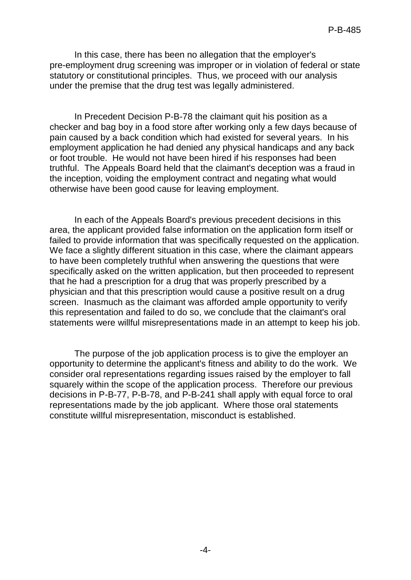In this case, there has been no allegation that the employer's pre-employment drug screening was improper or in violation of federal or state statutory or constitutional principles. Thus, we proceed with our analysis under the premise that the drug test was legally administered.

In Precedent Decision P-B-78 the claimant quit his position as a checker and bag boy in a food store after working only a few days because of pain caused by a back condition which had existed for several years. In his employment application he had denied any physical handicaps and any back or foot trouble. He would not have been hired if his responses had been truthful. The Appeals Board held that the claimant's deception was a fraud in the inception, voiding the employment contract and negating what would otherwise have been good cause for leaving employment.

In each of the Appeals Board's previous precedent decisions in this area, the applicant provided false information on the application form itself or failed to provide information that was specifically requested on the application. We face a slightly different situation in this case, where the claimant appears to have been completely truthful when answering the questions that were specifically asked on the written application, but then proceeded to represent that he had a prescription for a drug that was properly prescribed by a physician and that this prescription would cause a positive result on a drug screen. Inasmuch as the claimant was afforded ample opportunity to verify this representation and failed to do so, we conclude that the claimant's oral statements were willful misrepresentations made in an attempt to keep his job.

The purpose of the job application process is to give the employer an opportunity to determine the applicant's fitness and ability to do the work. We consider oral representations regarding issues raised by the employer to fall squarely within the scope of the application process. Therefore our previous decisions in P-B-77, P-B-78, and P-B-241 shall apply with equal force to oral representations made by the job applicant. Where those oral statements constitute willful misrepresentation, misconduct is established.